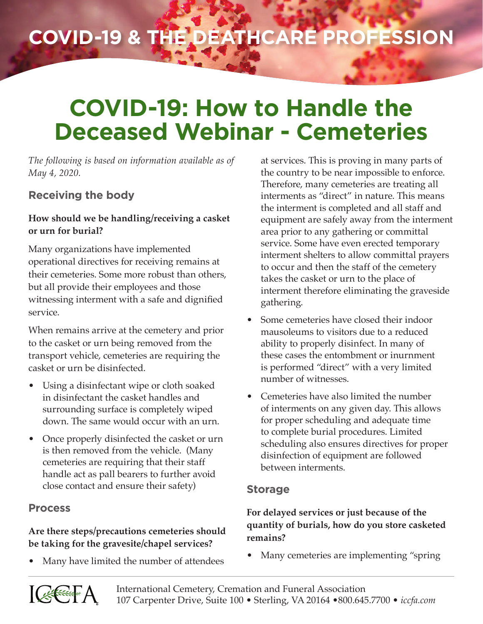# **COVID-19 & the Deathcare Profession**

## **COVID-19: How to Handle the Deceased Webinar - Cemeteries**

*The following is based on information available as of May 4, 2020.*

## **Receiving the body**

#### **How should we be handling/receiving a casket or urn for burial?**

Many organizations have implemented operational directives for receiving remains at their cemeteries. Some more robust than others, but all provide their employees and those witnessing interment with a safe and dignified service.

When remains arrive at the cemetery and prior to the casket or urn being removed from the transport vehicle, cemeteries are requiring the casket or urn be disinfected.

- Using a disinfectant wipe or cloth soaked in disinfectant the casket handles and surrounding surface is completely wiped down. The same would occur with an urn.
- Once properly disinfected the casket or urn is then removed from the vehicle. (Many cemeteries are requiring that their staff handle act as pall bearers to further avoid close contact and ensure their safety)

## **Process**

## **Are there steps/precautions cemeteries should be taking for the gravesite/chapel services?**

• Many have limited the number of attendees

at services. This is proving in many parts of the country to be near impossible to enforce. Therefore, many cemeteries are treating all interments as "direct" in nature. This means the interment is completed and all staff and equipment are safely away from the interment area prior to any gathering or committal service. Some have even erected temporary interment shelters to allow committal prayers to occur and then the staff of the cemetery takes the casket or urn to the place of interment therefore eliminating the graveside gathering.

- Some cemeteries have closed their indoor mausoleums to visitors due to a reduced ability to properly disinfect. In many of these cases the entombment or inurnment is performed "direct" with a very limited number of witnesses.
- Cemeteries have also limited the number of interments on any given day. This allows for proper scheduling and adequate time to complete burial procedures. Limited scheduling also ensures directives for proper disinfection of equipment are followed between interments.

## **Storage**

## **For delayed services or just because of the quantity of burials, how do you store casketed remains?**

• Many cemeteries are implementing "spring